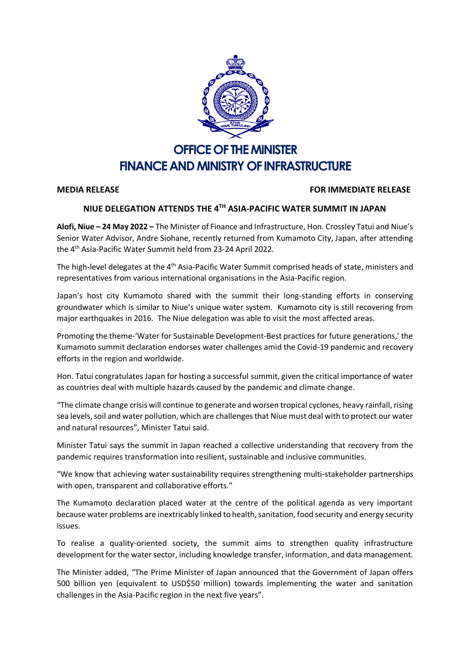

## **OFFICE OF THE MINISTER FINANCE AND MINISTRY OF INFRASTRUCTURE**

## **MEDIA RELEASE FOR IMMEDIATE RELEASE**

## **NIUE DELEGATION ATTENDS THE 4TH ASIA-PACIFIC WATER SUMMIT IN JAPAN**

**Alofi, Niue – 24 May 2022 –** The Minister of Finance and Infrastructure, Hon. Crossley Tatui and Niue's Senior Water Advisor, Andre Siohane, recently returned from Kumamoto City, Japan, after attending the 4th Asia-Pacific Water Summit held from 23-24 April 2022.

The high-level delegates at the 4<sup>th</sup> Asia-Pacific Water Summit comprised heads of state, ministers and representatives from various international organisations in the Asia-Pacific region.

Japan's host city Kumamoto shared with the summit their long-standing efforts in conserving groundwater which is similar to Niue's unique water system. Kumamoto city is still recovering from major earthquakes in 2016. The Niue delegation was able to visit the most affected areas.

Promoting the theme-'Water for Sustainable Development-Best practices for future generations,' the Kumamoto summit declaration endorses water challenges amid the Covid-19 pandemic and recovery efforts in the region and worldwide.

Hon. Tatui congratulates Japan for hosting a successful summit, given the critical importance of water as countries deal with multiple hazards caused by the pandemic and climate change.

"The climate change crisis will continue to generate and worsen tropical cyclones, heavy rainfall, rising sea levels, soil and water pollution, which are challengesthat Niue must deal with to protect our water and natural resources", Minister Tatui said.

Minister Tatui says the summit in Japan reached a collective understanding that recovery from the pandemic requires transformation into resilient, sustainable and inclusive communities.

"We know that achieving water sustainability requires strengthening multi-stakeholder partnerships with open, transparent and collaborative efforts."

The Kumamoto declaration placed water at the centre of the political agenda as very important because water problems are inextricably linked to health, sanitation, food security and energy security issues.

To realise a quality-oriented society, the summit aims to strengthen quality infrastructure development for the water sector, including knowledge transfer, information, and data management.

The Minister added, "The Prime Minister of Japan announced that the Government of Japan offers 500 billion yen (equivalent to USD\$50 million) towards implementing the water and sanitation challenges in the Asia-Pacific region in the next five years".